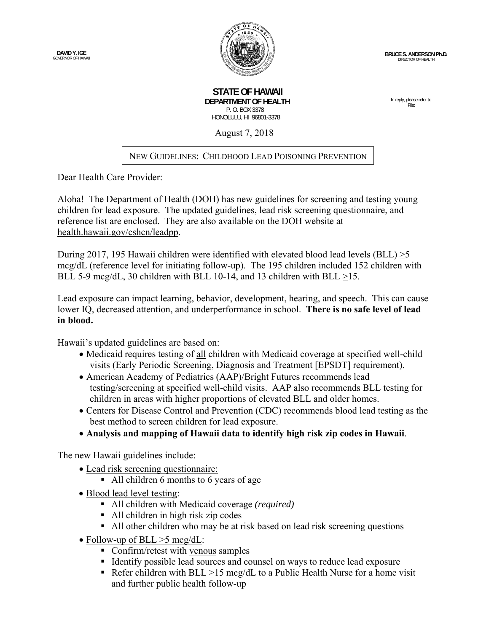

 **STATE OF HAWAII DEPARTMENT OF HEALTH**  P. O. BOX 3378 HONOLULU, HI 96801-3378

In reply, please refer to: File:

August 7, 2018

## NEW GUIDELINES: CHILDHOOD LEAD POISONING PREVENTION

Dear Health Care Provider:

Aloha! The Department of Health (DOH) has new guidelines for screening and testing young children for lead exposure. The updated guidelines, lead risk screening questionnaire, and reference list are enclosed. They are also available on the DOH website at health.hawaii.gov/cshcn/leadpp.

During 2017, 195 Hawaii children were identified with elevated blood lead levels (BLL) >5 mcg/dL (reference level for initiating follow-up). The 195 children included 152 children with BLL 5-9 mcg/dL, 30 children with BLL 10-14, and 13 children with BLL >15.

Lead exposure can impact learning, behavior, development, hearing, and speech. This can cause lower IQ, decreased attention, and underperformance in school. **There is no safe level of lead in blood.** 

Hawaii's updated guidelines are based on:

- Medicaid requires testing of all children with Medicaid coverage at specified well-child visits (Early Periodic Screening, Diagnosis and Treatment [EPSDT] requirement).
- American Academy of Pediatrics (AAP)/Bright Futures recommends lead testing/screening at specified well-child visits. AAP also recommends BLL testing for children in areas with higher proportions of elevated BLL and older homes.
- Centers for Disease Control and Prevention (CDC) recommends blood lead testing as the best method to screen children for lead exposure.
- **Analysis and mapping of Hawaii data to identify high risk zip codes in Hawaii**.

The new Hawaii guidelines include:

- Lead risk screening questionnaire:
	- All children 6 months to 6 years of age
- Blood lead level testing:
	- All children with Medicaid coverage *(required)*
	- All children in high risk zip codes
	- All other children who may be at risk based on lead risk screening questions
- Follow-up of BLL  $>5$  mcg/dL:
	- Confirm/retest with venous samples
	- Identify possible lead sources and counsel on ways to reduce lead exposure
	- Refer children with BLL >15 mcg/dL to a Public Health Nurse for a home visit and further public health follow-up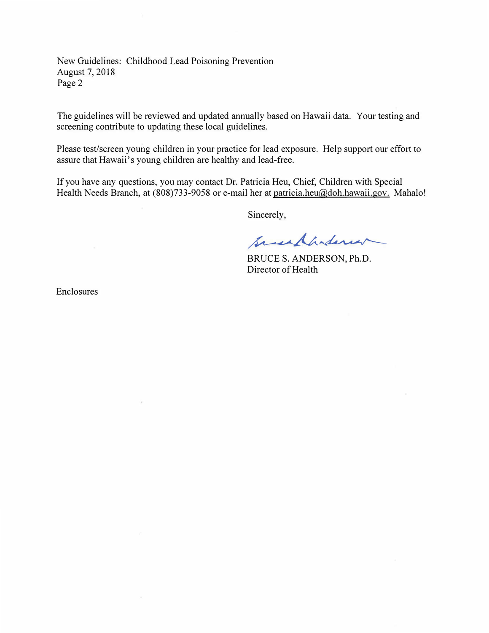New Guidelines: Childhood Lead Poisoning Prevention August 7, 2018 Page 2

The guidelines will be reviewed and updated annually based on Hawaii data. Your testing and screening contribute to updating these local guidelines.

Please test/screen young children in your practice for lead exposure. Help support our effort to assure that Hawaii's young children are healthy and lead-free.

If you have any questions, you may contact Dr. Patricia Heu, Chief, Children with Special Health Needs Branch, at (808)733-9058 or e-mail her at patricia.heu@doh.hawaii.gov. Mahalo!

Sincerely,

Sacrespondencer

BRUCE S. ANDERSON, Ph.D. Director of Health

Enclosures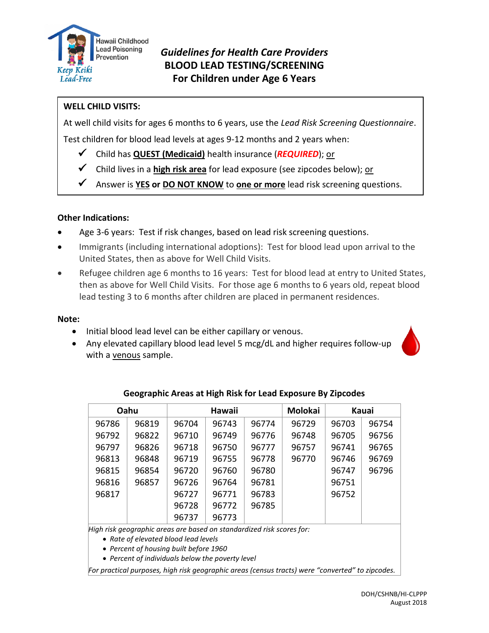

## *Guidelines for Health Care Providers* **BLOOD LEAD TESTING/SCREENING For Children under Age 6 Years**

## **WELL CHILD VISITS:**

At well child visits for ages 6 months to 6 years, use the *Lead Risk Screening Questionnaire*.

Test children for blood lead levels at ages 9-12 months and 2 years when:

- ✓ Child has **QUEST (Medicaid)** health insurance (*REQUIRED*); or
- ✓ Child lives in a **high risk area** for lead exposure (see zipcodes below); or
- Answer is **YES** or **DO NOT KNOW** to **one or more** lead risk screening questions.

### **Other Indications:**

- Age 3-6 years: Test if risk changes, based on lead risk screening questions.
- Immigrants (including international adoptions): Test for blood lead upon arrival to the United States, then as above for Well Child Visits.
- Refugee children age 6 months to 16 years: Test for blood lead at entry to United States, then as above for Well Child Visits. For those age 6 months to 6 years old, repeat blood lead testing 3 to 6 months after children are placed in permanent residences.

### **Note:**

- Initial blood lead level can be either capillary or venous.
- Any elevated capillary blood lead level 5 mcg/dL and higher requires follow-up with a venous sample.



| Oahu                                                                  |       |       | <b>Hawaii</b> |       | <b>Molokai</b> |       | Kauai |
|-----------------------------------------------------------------------|-------|-------|---------------|-------|----------------|-------|-------|
| 96786                                                                 | 96819 | 96704 | 96743         | 96774 | 96729          | 96703 | 96754 |
| 96792                                                                 | 96822 | 96710 | 96749         | 96776 | 96748          | 96705 | 96756 |
| 96797                                                                 | 96826 | 96718 | 96750         | 96777 | 96757          | 96741 | 96765 |
| 96813                                                                 | 96848 | 96719 | 96755         | 96778 | 96770          | 96746 | 96769 |
| 96815                                                                 | 96854 | 96720 | 96760         | 96780 |                | 96747 | 96796 |
| 96816                                                                 | 96857 | 96726 | 96764         | 96781 |                | 96751 |       |
| 96817                                                                 |       | 96727 | 96771         | 96783 |                | 96752 |       |
|                                                                       |       | 96728 | 96772         | 96785 |                |       |       |
|                                                                       |       | 96737 | 96773         |       |                |       |       |
| High risk geographic areas are based on standardized risk scores for: |       |       |               |       |                |       |       |

### **Geographic Areas at High Risk for Lead Exposure By Zipcodes**

• *Rate of elevated blood lead levels* 

• *Percent of housing built before 1960*

• *Percent of individuals below the poverty level*

*For practical purposes, high risk geographic areas (census tracts) were "converted" to zipcodes.*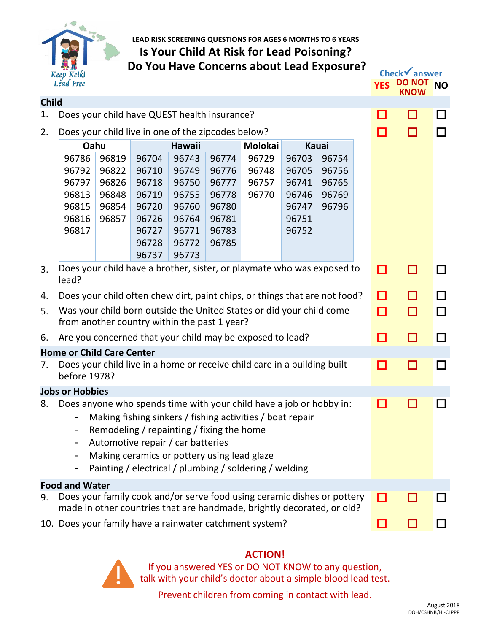

**LEAD RISK SCREENING QUESTIONS FOR AGES 6 MONTHS TO 6 YEARS Is Your Child At Risk for Lead Poisoning? Do You Have Concerns about Lead Exposure?**

|                                                                                                                            | Lead-Free                                                                  |                         |                                                                                                                               |                                   |                                  |                                                                                                                                                                                            |                                  |                         |        | <b>YES</b> | <b>DO NOT</b> | <b>NO</b> |
|----------------------------------------------------------------------------------------------------------------------------|----------------------------------------------------------------------------|-------------------------|-------------------------------------------------------------------------------------------------------------------------------|-----------------------------------|----------------------------------|--------------------------------------------------------------------------------------------------------------------------------------------------------------------------------------------|----------------------------------|-------------------------|--------|------------|---------------|-----------|
| <b>Child</b>                                                                                                               |                                                                            |                         |                                                                                                                               |                                   |                                  |                                                                                                                                                                                            |                                  |                         |        |            |               |           |
| 1.                                                                                                                         |                                                                            |                         | Does your child have QUEST health insurance?                                                                                  |                                   |                                  |                                                                                                                                                                                            |                                  |                         |        | ш          | H             | $\Box$    |
| 2.                                                                                                                         | Does your child live in one of the zipcodes below?                         |                         |                                                                                                                               |                                   |                                  |                                                                                                                                                                                            |                                  |                         | П      | П          | l I           |           |
|                                                                                                                            | Oahu                                                                       |                         |                                                                                                                               | Hawaii<br>Molokai<br><b>Kauai</b> |                                  |                                                                                                                                                                                            |                                  |                         |        |            |               |           |
|                                                                                                                            | 96786<br>96792<br>96797                                                    | 96819<br>96822<br>96826 | 96704<br>96710<br>96718                                                                                                       | 96743<br>96749<br>96750           | 96774<br>96776<br>96777          | 96729<br>96748<br>96757                                                                                                                                                                    | 96703<br>96705<br>96741          | 96754<br>96756<br>96765 |        |            |               |           |
|                                                                                                                            | 96813<br>96815<br>96816<br>96817                                           | 96848<br>96854<br>96857 | 96719<br>96720<br>96726<br>96727                                                                                              | 96755<br>96760<br>96764<br>96771  | 96778<br>96780<br>96781<br>96783 | 96770                                                                                                                                                                                      | 96746<br>96747<br>96751<br>96752 | 96769<br>96796          |        |            |               |           |
|                                                                                                                            |                                                                            |                         | 96728<br>96737                                                                                                                | 96772<br>96773                    | 96785                            |                                                                                                                                                                                            |                                  |                         |        |            |               |           |
| 3.                                                                                                                         | lead?                                                                      |                         |                                                                                                                               |                                   |                                  | Does your child have a brother, sister, or playmate who was exposed to                                                                                                                     |                                  |                         |        | □          | П             | П         |
| 4.                                                                                                                         | Does your child often chew dirt, paint chips, or things that are not food? |                         |                                                                                                                               |                                   |                                  |                                                                                                                                                                                            | п                                | П                       | $\Box$ |            |               |           |
| Was your child born outside the United States or did your child come<br>5.<br>from another country within the past 1 year? |                                                                            |                         |                                                                                                                               |                                   |                                  |                                                                                                                                                                                            | □                                | □                       | П      |            |               |           |
| 6.                                                                                                                         | Are you concerned that your child may be exposed to lead?                  |                         |                                                                                                                               |                                   |                                  |                                                                                                                                                                                            |                                  | П                       | П      | П          |               |           |
|                                                                                                                            | <b>Home or Child Care Center</b>                                           |                         |                                                                                                                               |                                   |                                  |                                                                                                                                                                                            |                                  |                         |        |            |               |           |
| 7.                                                                                                                         | before 1978?                                                               |                         |                                                                                                                               |                                   |                                  | Does your child live in a home or receive child care in a building built                                                                                                                   |                                  |                         |        | □          | П             | П         |
|                                                                                                                            | <b>Jobs or Hobbies</b>                                                     |                         |                                                                                                                               |                                   |                                  |                                                                                                                                                                                            |                                  |                         |        |            |               |           |
| 8.                                                                                                                         | -                                                                          |                         | Remodeling / repainting / fixing the home<br>Automotive repair / car batteries<br>Making ceramics or pottery using lead glaze |                                   |                                  | Does anyone who spends time with your child have a job or hobby in:<br>Making fishing sinkers / fishing activities / boat repair<br>Painting / electrical / plumbing / soldering / welding |                                  |                         |        | □          |               | П         |
|                                                                                                                            | <b>Food and Water</b>                                                      |                         |                                                                                                                               |                                   |                                  |                                                                                                                                                                                            |                                  |                         |        |            |               |           |
| 9.                                                                                                                         |                                                                            |                         |                                                                                                                               |                                   |                                  | Does your family cook and/or serve food using ceramic dishes or pottery<br>made in other countries that are handmade, brightly decorated, or old?                                          |                                  |                         |        |            |               |           |
|                                                                                                                            | 10. Does your family have a rainwater catchment system?                    |                         |                                                                                                                               |                                   |                                  |                                                                                                                                                                                            |                                  |                         |        |            |               |           |

## **ACTION!**

If you answered YES or DO NOT KNOW to any question, talk with your child's doctor about a simple blood lead test.

Prevent children from coming in contact with lead.

 **Check**✓**answer**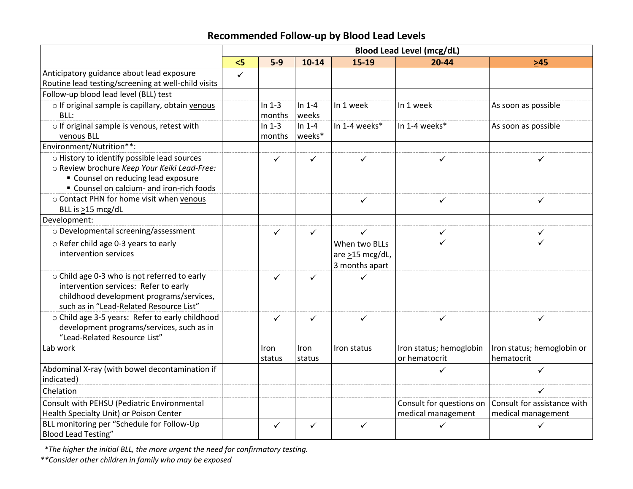# **Recommended Follow-up by Blood Lead Levels**

|                                                     | <b>Blood Lead Level (mcg/dL)</b> |              |              |                       |                          |                             |
|-----------------------------------------------------|----------------------------------|--------------|--------------|-----------------------|--------------------------|-----------------------------|
|                                                     | 5<                               | $5-9$        | $10 - 14$    | 15-19                 | $20 - 44$                | $>45$                       |
| Anticipatory guidance about lead exposure           | $\checkmark$                     |              |              |                       |                          |                             |
| Routine lead testing/screening at well-child visits |                                  |              |              |                       |                          |                             |
| Follow-up blood lead level (BLL) test               |                                  |              |              |                       |                          |                             |
| o If original sample is capillary, obtain venous    |                                  | In $1-3$     | In $1-4$     | In 1 week             | In 1 week                | As soon as possible         |
| BLL:                                                |                                  | months       | weeks        |                       |                          |                             |
| o If original sample is venous, retest with         |                                  | In $1-3$     | In $1-4$     | In 1-4 weeks*         | In 1-4 weeks*            | As soon as possible         |
| venous BLL                                          |                                  | months       | weeks*       |                       |                          |                             |
| Environment/Nutrition <sup>**</sup> :               |                                  |              |              |                       |                          |                             |
| o History to identify possible lead sources         |                                  | $\checkmark$ | ✓            | ✓                     | $\checkmark$             | ✓                           |
| o Review brochure Keep Your Keiki Lead-Free:        |                                  |              |              |                       |                          |                             |
| " Counsel on reducing lead exposure                 |                                  |              |              |                       |                          |                             |
| " Counsel on calcium- and iron-rich foods           |                                  |              |              |                       |                          |                             |
| o Contact PHN for home visit when venous            |                                  |              |              | $\checkmark$          | $\checkmark$             | ✓                           |
| BLL is >15 mcg/dL                                   |                                  |              |              |                       |                          |                             |
| Development:                                        |                                  |              |              |                       |                          |                             |
| o Developmental screening/assessment                |                                  | $\checkmark$ | $\checkmark$ | $\checkmark$          | $\checkmark$             | ✓                           |
| o Refer child age 0-3 years to early                |                                  |              |              | When two BLLs         | ✓                        | ✓                           |
| intervention services                               |                                  |              |              | are $\geq$ 15 mcg/dL, |                          |                             |
|                                                     |                                  |              |              | 3 months apart        |                          |                             |
| o Child age 0-3 who is not referred to early        |                                  | $\checkmark$ | ✓            |                       |                          |                             |
| intervention services: Refer to early               |                                  |              |              |                       |                          |                             |
| childhood development programs/services,            |                                  |              |              |                       |                          |                             |
| such as in "Lead-Related Resource List"             |                                  |              |              |                       |                          |                             |
| o Child age 3-5 years: Refer to early childhood     |                                  | $\checkmark$ | ✓            | ✓                     | $\checkmark$             | ✓                           |
| development programs/services, such as in           |                                  |              |              |                       |                          |                             |
| "Lead-Related Resource List"                        |                                  |              |              |                       |                          |                             |
| Lab work                                            |                                  | Iron         | Iron         | Iron status           | Iron status; hemoglobin  | Iron status; hemoglobin or  |
|                                                     |                                  | status       | status       |                       | or hematocrit            | hematocrit                  |
| Abdominal X-ray (with bowel decontamination if      |                                  |              |              |                       | $\checkmark$             | $\checkmark$                |
| indicated)                                          |                                  |              |              |                       |                          |                             |
| Chelation                                           |                                  |              |              |                       |                          | ✓                           |
| Consult with PEHSU (Pediatric Environmental         |                                  |              |              |                       | Consult for questions on | Consult for assistance with |
| Health Specialty Unit) or Poison Center             |                                  |              |              |                       | medical management       | medical management          |
| BLL monitoring per "Schedule for Follow-Up          |                                  | $\checkmark$ | ✓            | ✓                     | ✓                        | ✓                           |
| <b>Blood Lead Testing"</b>                          |                                  |              |              |                       |                          |                             |

 *\*The higher the initial BLL, the more urgent the need for confirmatory testing.*

*\*\*Consider other children in family who may be exposed*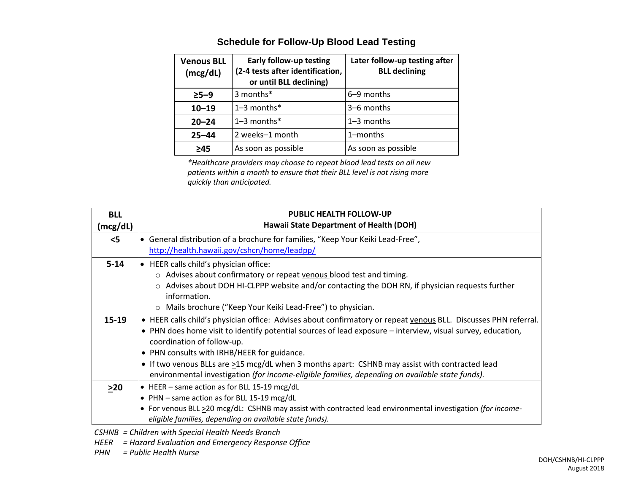| <b>Venous BLL</b><br>(mcg/dL) | <b>Early follow-up testing</b><br>(2-4 tests after identification,<br>or until BLL declining) | Later follow-up testing after<br><b>BLL declining</b> |
|-------------------------------|-----------------------------------------------------------------------------------------------|-------------------------------------------------------|
| $>5-9$                        | 3 months*                                                                                     | 6–9 months                                            |
| $10 - 19$                     | $1-3$ months $*$                                                                              | 3–6 months                                            |
| $20 - 24$                     | $1-3$ months*                                                                                 | $1-3$ months                                          |
| $25 - 44$                     | 2 weeks-1 month                                                                               | 1-months                                              |
| ≥45                           | As soon as possible                                                                           | As soon as possible                                   |

## **Schedule for Follow-Up Blood Lead Testing**

*\*Healthcare providers may choose to repeat blood lead tests on all new patients within a month to ensure that their BLL level is not rising more quickly than anticipated.*

| <b>BLL</b><br>(mcg/dL) | <b>PUBLIC HEALTH FOLLOW-UP</b><br>Hawaii State Department of Health (DOH)                                                                                                                                                                                                                                                                                                                                                                                                                                        |
|------------------------|------------------------------------------------------------------------------------------------------------------------------------------------------------------------------------------------------------------------------------------------------------------------------------------------------------------------------------------------------------------------------------------------------------------------------------------------------------------------------------------------------------------|
| $<$ 5                  | • General distribution of a brochure for families, "Keep Your Keiki Lead-Free",<br>http://health.hawaii.gov/cshcn/home/leadpp/                                                                                                                                                                                                                                                                                                                                                                                   |
| $5 - 14$               | $\bullet$ HEER calls child's physician office:<br>o Advises about confirmatory or repeat venous blood test and timing.<br>Advises about DOH HI-CLPPP website and/or contacting the DOH RN, if physician requests further<br>$\circ$<br>information.<br>Mails brochure ("Keep Your Keiki Lead-Free") to physician.<br>$\circ$                                                                                                                                                                                     |
| $15 - 19$              | • HEER calls child's physician office: Advises about confirmatory or repeat venous BLL. Discusses PHN referral.<br>• PHN does home visit to identify potential sources of lead exposure – interview, visual survey, education,<br>coordination of follow-up.<br>• PHN consults with IRHB/HEER for guidance.<br>• If two venous BLLs are >15 mcg/dL when 3 months apart: CSHNB may assist with contracted lead<br>environmental investigation (for income-eligible families, depending on available state funds). |
| >20                    | • HEER – same action as for BLL 15-19 mcg/dL<br>• PHN - same action as for BLL 15-19 mcg/dL<br>• For venous BLL > 20 mcg/dL: CSHNB may assist with contracted lead environmental investigation (for income-<br>eligible families, depending on available state funds).                                                                                                                                                                                                                                           |

*CSHNB = Children with Special Health Needs Branch*

*HEER = Hazard Evaluation and Emergency Response Office*

*PHN = Public Health Nurse*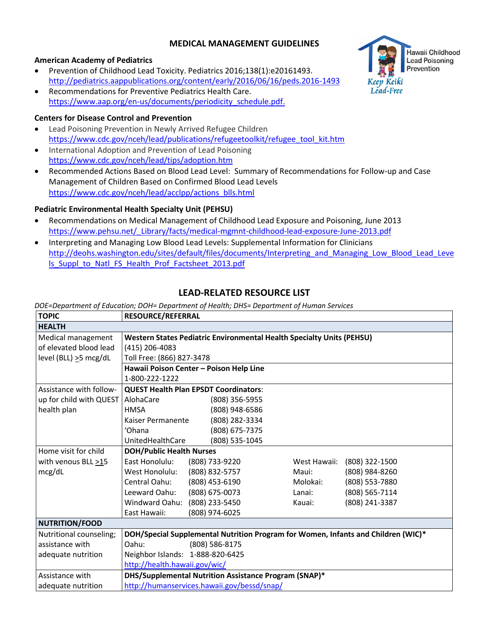### **MEDICAL MANAGEMENT GUIDELINES**

#### **American Academy of Pediatrics**

- Prevention of Childhood Lead Toxicity. Pediatrics 2016;138(1):e20161493. <http://pediatrics.aappublications.org/content/early/2016/06/16/peds.2016-1493>
- Recommendations for Preventive Pediatrics Health Care. [https://www.aap.org/en-us/documents/periodicity\\_schedule.pdf.](https://www.aap.org/en-us/documents/periodicity_schedule.pdf)

### **Centers for Disease Control and Prevention**

- Lead Poisoning Prevention in Newly Arrived Refugee Children [https://www.cdc.gov/nceh/lead/publications/refugeetoolkit/refugee\\_tool\\_kit.htm](https://www.cdc.gov/nceh/lead/publications/refugeetoolkit/refugee_tool_kit.htm)
- International Adoption and Prevention of Lead Poisoning <https://www.cdc.gov/nceh/lead/tips/adoption.htm>
- Recommended Actions Based on Blood Lead Level: Summary of Recommendations for Follow-up and Case Management of Children Based on Confirmed Blood Lead Levels [https://www.cdc.gov/nceh/lead/acclpp/actions\\_blls.html](https://www.cdc.gov/nceh/lead/acclpp/actions_blls.html)

### **Pediatric Environmental Health Specialty Unit (PEHSU)**

- Recommendations on Medical Management of Childhood Lead Exposure and Poisoning, June 2013 [https://www.pehsu.net/\\_Library/facts/medical-mgmnt-childhood-lead-exposure-June-2013.pdf](https://www.pehsu.net/_Library/facts/medical-mgmnt-childhood-lead-exposure-June-2013.pdf)
- Interpreting and Managing Low Blood Lead Levels: Supplemental Information for Clinicians [http://deohs.washington.edu/sites/default/files/documents/Interpreting\\_and\\_Managing\\_Low\\_Blood\\_Lead\\_Leve](http://deohs.washington.edu/sites/default/files/documents/Interpreting_and_Managing_Low_Blood_Lead_Levels_Suppl_to_Natl_FS_Health_Prof_Factsheet_2013.pdf) [ls\\_Suppl\\_to\\_Natl\\_FS\\_Health\\_Prof\\_Factsheet\\_2013.pdf](http://deohs.washington.edu/sites/default/files/documents/Interpreting_and_Managing_Low_Blood_Lead_Levels_Suppl_to_Natl_FS_Health_Prof_Factsheet_2013.pdf)

## **LEAD-RELATED RESOURCE LIST**

*DOE=Department of Education; DOH= Department of Health; DHS= Department of Human Services*

| <b>TOPIC</b>              | <b>RESOURCE/REFERRAL</b>                                                     |                                                                                   |              |                |  |  |  |
|---------------------------|------------------------------------------------------------------------------|-----------------------------------------------------------------------------------|--------------|----------------|--|--|--|
| <b>HEALTH</b>             |                                                                              |                                                                                   |              |                |  |  |  |
| Medical management        | <b>Western States Pediatric Environmental Health Specialty Units (PEHSU)</b> |                                                                                   |              |                |  |  |  |
| of elevated blood lead    | (415) 206-4083                                                               |                                                                                   |              |                |  |  |  |
| level (BLL) >5 mcg/dL     |                                                                              | Toll Free: (866) 827-3478                                                         |              |                |  |  |  |
|                           |                                                                              | Hawaii Poison Center - Poison Help Line                                           |              |                |  |  |  |
|                           | 1-800-222-1222                                                               |                                                                                   |              |                |  |  |  |
| Assistance with follow-   |                                                                              | <b>QUEST Health Plan EPSDT Coordinators:</b>                                      |              |                |  |  |  |
| up for child with QUEST   | AlohaCare                                                                    | (808) 356-5955                                                                    |              |                |  |  |  |
| health plan               | <b>HMSA</b>                                                                  | (808) 948-6586                                                                    |              |                |  |  |  |
|                           | Kaiser Permanente                                                            | (808) 282-3334                                                                    |              |                |  |  |  |
|                           | 'Ohana                                                                       | (808) 675-7375                                                                    |              |                |  |  |  |
|                           | UnitedHealthCare                                                             | (808) 535-1045                                                                    |              |                |  |  |  |
| Home visit for child      | <b>DOH/Public Health Nurses</b>                                              |                                                                                   |              |                |  |  |  |
| with venous BLL $\geq$ 15 | East Honolulu:                                                               | (808) 733-9220                                                                    | West Hawaii: | (808) 322-1500 |  |  |  |
| mcg/dL                    | West Honolulu:                                                               | (808) 832-5757                                                                    | Maui:        | (808) 984-8260 |  |  |  |
|                           | Central Oahu:                                                                | (808) 453-6190                                                                    | Molokai:     | (808) 553-7880 |  |  |  |
|                           | Leeward Oahu:                                                                | (808) 675-0073                                                                    | Lanai:       | (808) 565-7114 |  |  |  |
|                           | Windward Oahu:                                                               | (808) 233-5450                                                                    | Kauai:       | (808) 241-3387 |  |  |  |
|                           | East Hawaii:                                                                 | (808) 974-6025                                                                    |              |                |  |  |  |
| <b>NUTRITION/FOOD</b>     |                                                                              |                                                                                   |              |                |  |  |  |
| Nutritional counseling;   |                                                                              | DOH/Special Supplemental Nutrition Program for Women, Infants and Children (WIC)* |              |                |  |  |  |
| assistance with           | Oahu:                                                                        | (808) 586-8175                                                                    |              |                |  |  |  |
| adequate nutrition        | Neighbor Islands: 1-888-820-6425                                             |                                                                                   |              |                |  |  |  |
|                           | http://health.hawaii.gov/wic/                                                |                                                                                   |              |                |  |  |  |
| Assistance with           |                                                                              | DHS/Supplemental Nutrition Assistance Program (SNAP)*                             |              |                |  |  |  |
| adequate nutrition        |                                                                              | http://humanservices.hawaii.gov/bessd/snap/                                       |              |                |  |  |  |